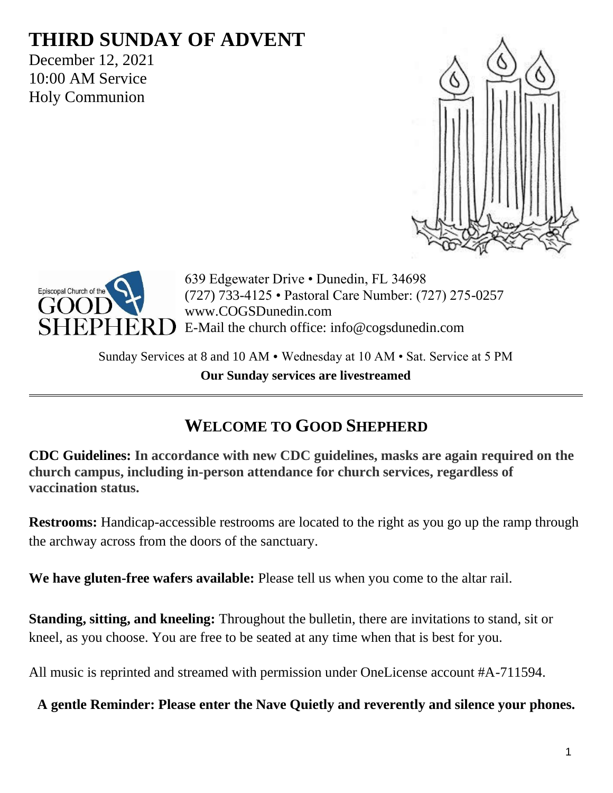# **THIRD SUNDAY OF ADVENT**

December 12, 2021 10:00 AM Service Holy Communion





639 Edgewater Drive • Dunedin, FL 34698 (727) 733-4125 • Pastoral Care Number: (727) 275-0257 www.COGSDunedin.com E-Mail the church office: info@cogsdunedin.com

Sunday Services at 8 and 10 AM • Wednesday at 10 AM • Sat. Service at 5 PM **Our Sunday services are livestreamed**

# **WELCOME TO GOOD SHEPHERD**

**CDC Guidelines: In accordance with new CDC guidelines, masks are again required on the church campus, including in-person attendance for church services, regardless of vaccination status.**

**Restrooms:** Handicap-accessible restrooms are located to the right as you go up the ramp through the archway across from the doors of the sanctuary.

**We have gluten-free wafers available:** Please tell us when you come to the altar rail.

**Standing, sitting, and kneeling:** Throughout the bulletin, there are invitations to stand, sit or kneel, as you choose. You are free to be seated at any time when that is best for you.

All music is reprinted and streamed with permission under OneLicense account #A-711594.

**A gentle Reminder: Please enter the Nave Quietly and reverently and silence your phones.**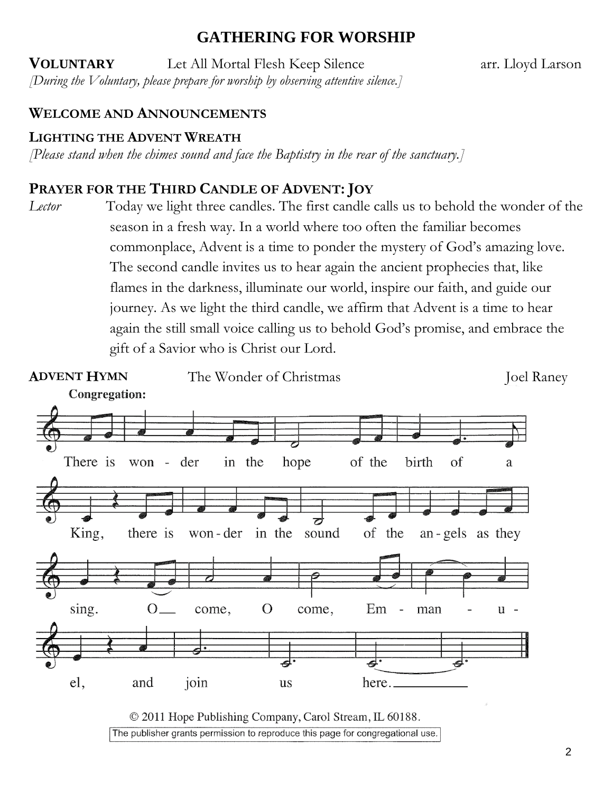# **GATHERING FOR WORSHIP**

**VOLUNTARY** Let All Mortal Flesh Keep Silence arr. Lloyd Larson *[During the Voluntary, please prepare for worship by observing attentive silence.]*

#### **WELCOME AND ANNOUNCEMENTS**

#### **LIGHTING THE ADVENT WREATH**

*[Please stand when the chimes sound and face the Baptistry in the rear of the sanctuary.]*

### **PRAYER FOR THE THIRD CANDLE OF ADVENT: JOY**

*Lector* Today we light three candles. The first candle calls us to behold the wonder of the season in a fresh way. In a world where too often the familiar becomes commonplace, Advent is a time to ponder the mystery of God's amazing love. The second candle invites us to hear again the ancient prophecies that, like flames in the darkness, illuminate our world, inspire our faith, and guide our journey. As we light the third candle, we affirm that Advent is a time to hear again the still small voice calling us to behold God's promise, and embrace the gift of a Savior who is Christ our Lord.

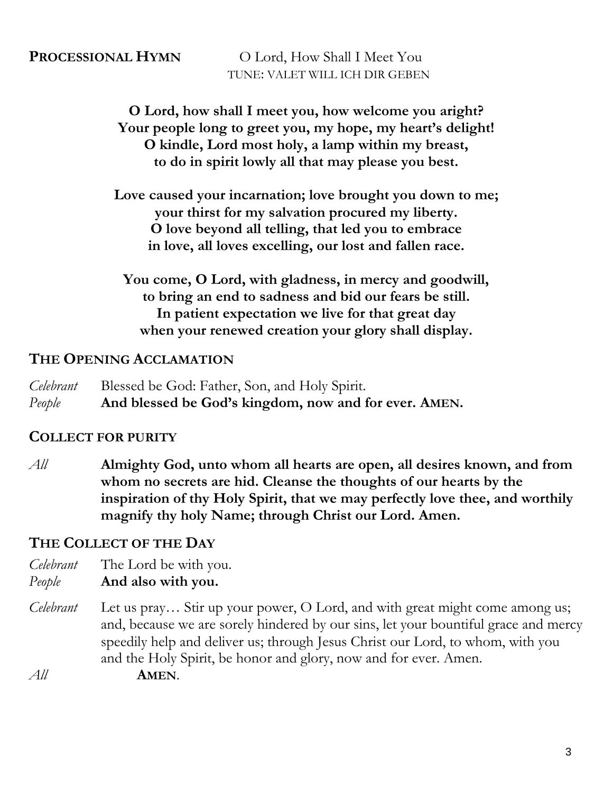**PROCESSIONAL HYMN** O Lord, How Shall I Meet You TUNE: VALET WILL ICH DIR GEBEN

> **O Lord, how shall I meet you, how welcome you aright? Your people long to greet you, my hope, my heart's delight! O kindle, Lord most holy, a lamp within my breast, to do in spirit lowly all that may please you best.**

**Love caused your incarnation; love brought you down to me; your thirst for my salvation procured my liberty. O love beyond all telling, that led you to embrace in love, all loves excelling, our lost and fallen race.**

**You come, O Lord, with gladness, in mercy and goodwill, to bring an end to sadness and bid our fears be still. In patient expectation we live for that great day when your renewed creation your glory shall display.**

#### **THE OPENING ACCLAMATION**

*Celebrant* Blessed be God: Father, Son, and Holy Spirit. *People* **And blessed be God's kingdom, now and for ever. AMEN.**

#### **COLLECT FOR PURITY**

*All* **Almighty God, unto whom all hearts are open, all desires known, and from whom no secrets are hid. Cleanse the thoughts of our hearts by the inspiration of thy Holy Spirit, that we may perfectly love thee, and worthily magnify thy holy Name; through Christ our Lord. Amen.**

#### **THE COLLECT OF THE DAY**

*Celebrant* The Lord be with you.

*People* **And also with you.**

*Celebrant* Let us pray… Stir up your power, O Lord, and with great might come among us; and, because we are sorely hindered by our sins, let your bountiful grace and mercy speedily help and deliver us; through Jesus Christ our Lord, to whom, with you and the Holy Spirit, be honor and glory, now and for ever. Amen. *All* **AMEN**.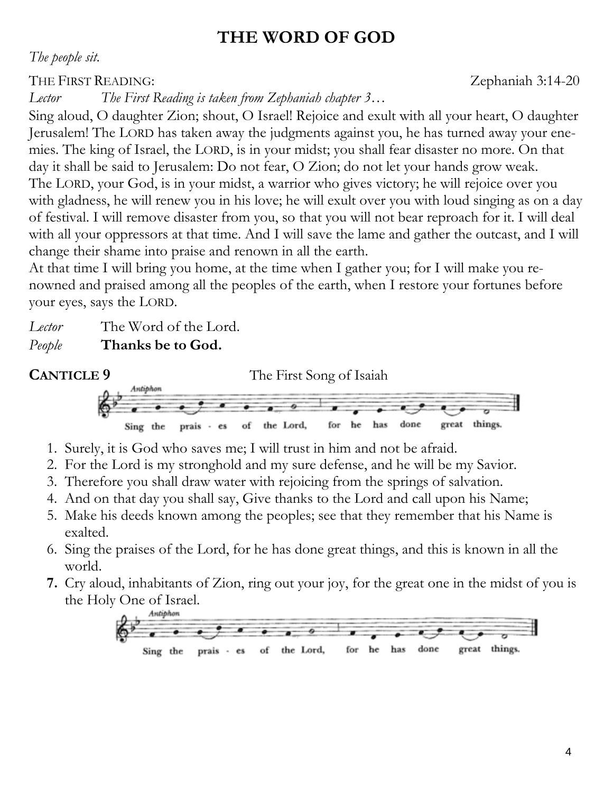# **THE WORD OF GOD**

#### *The people sit.*

#### THE FIRST READING: Zephaniah 3:14-20

*Lector The First Reading is taken from Zephaniah chapter 3…*

Sing aloud, O daughter Zion; shout, O Israel! Rejoice and exult with all your heart, O daughter Jerusalem! The LORD has taken away the judgments against you, he has turned away your enemies. The king of Israel, the LORD, is in your midst; you shall fear disaster no more. On that day it shall be said to Jerusalem: Do not fear, O Zion; do not let your hands grow weak. The LORD, your God, is in your midst, a warrior who gives victory; he will rejoice over you with gladness, he will renew you in his love; he will exult over you with loud singing as on a day of festival. I will remove disaster from you, so that you will not bear reproach for it. I will deal with all your oppressors at that time. And I will save the lame and gather the outcast, and I will change their shame into praise and renown in all the earth.

At that time I will bring you home, at the time when I gather you; for I will make you renowned and praised among all the peoples of the earth, when I restore your fortunes before your eyes, says the LORD.

*Lector* The Word of the Lord.

*People* **Thanks be to God.**



- 1. Surely, it is God who saves me; I will trust in him and not be afraid.
- 2. For the Lord is my stronghold and my sure defense, and he will be my Savior.
- 3. Therefore you shall draw water with rejoicing from the springs of salvation.
- 4. And on that day you shall say, Give thanks to the Lord and call upon his Name;
- 5. Make his deeds known among the peoples; see that they remember that his Name is exalted.
- 6. Sing the praises of the Lord, for he has done great things, and this is known in all the world.
- **7.** Cry aloud, inhabitants of Zion, ring out your joy, for the great one in the midst of you is the Holy One of Israel.

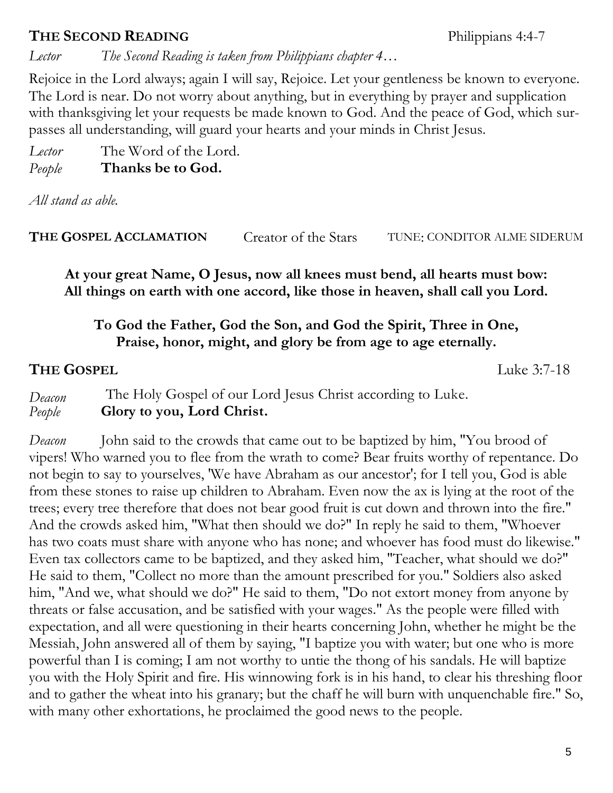### **THE SECOND READING** Philippians 4:4-7

*Lector The Second Reading is taken from Philippians chapter 4…*

Rejoice in the Lord always; again I will say, Rejoice. Let your gentleness be known to everyone. The Lord is near. Do not worry about anything, but in everything by prayer and supplication with thanksgiving let your requests be made known to God. And the peace of God, which surpasses all understanding, will guard your hearts and your minds in Christ Jesus.

*Lector* The Word of the Lord. *People* **Thanks be to God.**

*All stand as able.*

**THE GOSPEL ACCLAMATION** Creator of the Stars TUNE: CONDITOR ALME SIDERUM

#### **At your great Name, O Jesus, now all knees must bend, all hearts must bow: All things on earth with one accord, like those in heaven, shall call you Lord.**

#### **To God the Father, God the Son, and God the Spirit, Three in One, Praise, honor, might, and glory be from age to age eternally.**

#### **THE GOSPEL** Luke 3:7-18

*Deacon* The Holy Gospel of our Lord Jesus Christ according to Luke. *People* **Glory to you, Lord Christ.**

*Deacon* John said to the crowds that came out to be baptized by him, "You brood of vipers! Who warned you to flee from the wrath to come? Bear fruits worthy of repentance. Do not begin to say to yourselves, 'We have Abraham as our ancestor'; for I tell you, God is able from these stones to raise up children to Abraham. Even now the ax is lying at the root of the trees; every tree therefore that does not bear good fruit is cut down and thrown into the fire." And the crowds asked him, "What then should we do?" In reply he said to them, "Whoever has two coats must share with anyone who has none; and whoever has food must do likewise." Even tax collectors came to be baptized, and they asked him, "Teacher, what should we do?" He said to them, "Collect no more than the amount prescribed for you." Soldiers also asked him, "And we, what should we do?" He said to them, "Do not extort money from anyone by threats or false accusation, and be satisfied with your wages." As the people were filled with expectation, and all were questioning in their hearts concerning John, whether he might be the Messiah, John answered all of them by saying, "I baptize you with water; but one who is more powerful than I is coming; I am not worthy to untie the thong of his sandals. He will baptize you with the Holy Spirit and fire. His winnowing fork is in his hand, to clear his threshing floor and to gather the wheat into his granary; but the chaff he will burn with unquenchable fire." So, with many other exhortations, he proclaimed the good news to the people.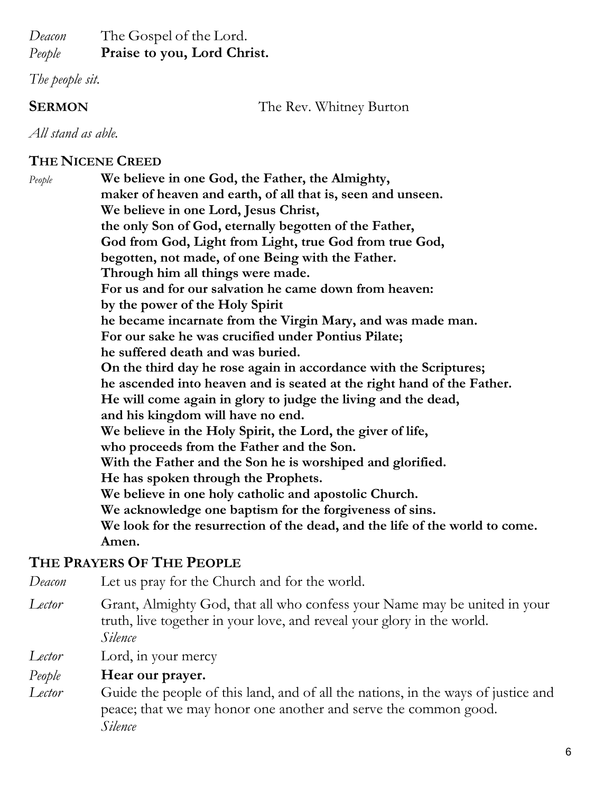*Deacon* The Gospel of the Lord.

*People* **Praise to you, Lord Christ.**

*The people sit.*

**SERMON** The Rev. Whitney Burton

*All stand as able.*

### **THE NICENE CREED**

*People* **We believe in one God, the Father, the Almighty, maker of heaven and earth, of all that is, seen and unseen. We believe in one Lord, Jesus Christ, the only Son of God, eternally begotten of the Father, God from God, Light from Light, true God from true God, begotten, not made, of one Being with the Father. Through him all things were made. For us and for our salvation he came down from heaven: by the power of the Holy Spirit he became incarnate from the Virgin Mary, and was made man. For our sake he was crucified under Pontius Pilate; he suffered death and was buried. On the third day he rose again in accordance with the Scriptures; he ascended into heaven and is seated at the right hand of the Father. He will come again in glory to judge the living and the dead, and his kingdom will have no end. We believe in the Holy Spirit, the Lord, the giver of life, who proceeds from the Father and the Son. With the Father and the Son he is worshiped and glorified. He has spoken through the Prophets. We believe in one holy catholic and apostolic Church. We acknowledge one baptism for the forgiveness of sins. We look for the resurrection of the dead, and the life of the world to come. Amen.**

# **THE PRAYERS OF THE PEOPLE**

*Deacon* Let us pray for the Church and for the world.

- *Lector* Grant, Almighty God, that all who confess your Name may be united in your truth, live together in your love, and reveal your glory in the world. *Silence*
- *Lector* Lord, in your mercy

# *People* **Hear our prayer.**

*Lector* Guide the people of this land, and of all the nations, in the ways of justice and peace; that we may honor one another and serve the common good. *Silence*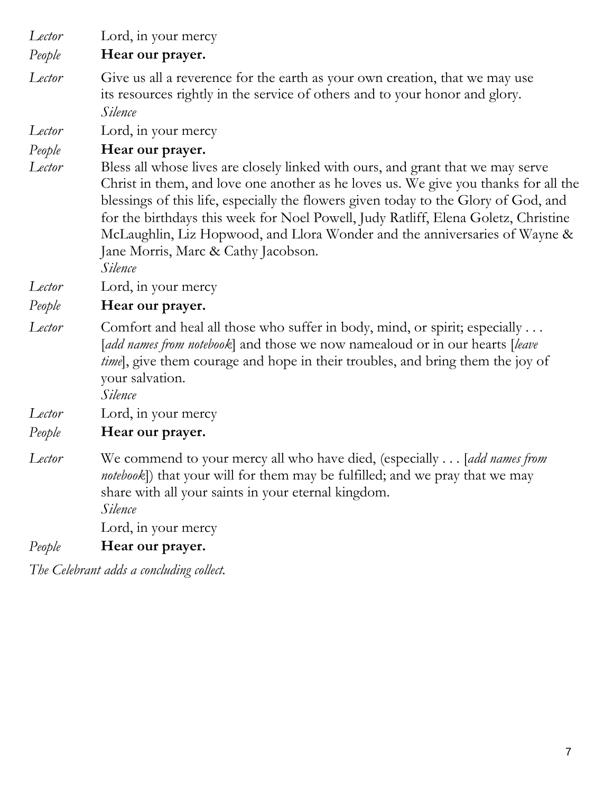*Lector* Lord, in your mercy

*People* **Hear our prayer.**

*Lector* Give us all a reverence for the earth as your own creation, that we may use its resources rightly in the service of others and to your honor and glory. *Silence*

*Lector* Lord, in your mercy

## *People* **Hear our prayer.**

*Lector* Bless all whose lives are closely linked with ours, and grant that we may serve Christ in them, and love one another as he loves us. We give you thanks for all the blessings of this life, especially the flowers given today to the Glory of God, and for the birthdays this week for Noel Powell, Judy Ratliff, Elena Goletz, Christine McLaughlin, Liz Hopwood, and Llora Wonder and the anniversaries of Wayne & Jane Morris, Marc & Cathy Jacobson*.*

*Silence*

*Lector* Lord, in your mercy

## *People* **Hear our prayer.**

*Lector* Comfort and heal all those who suffer in body, mind, or spirit; especially ... [*add names from notebook*] and those we now namealoud or in our hearts [*leave time*, give them courage and hope in their troubles, and bring them the joy of your salvation.

*Silence*

*Lector* Lord, in your mercy

## *People* **Hear our prayer.**

*Lector* We commend to your mercy all who have died, (especially . . . [*add names from notebook*]) that your will for them may be fulfilled; and we pray that we may share with all your saints in your eternal kingdom.

*Silence*

Lord, in your mercy

*People* **Hear our prayer.**

*The Celebrant adds a concluding collect.*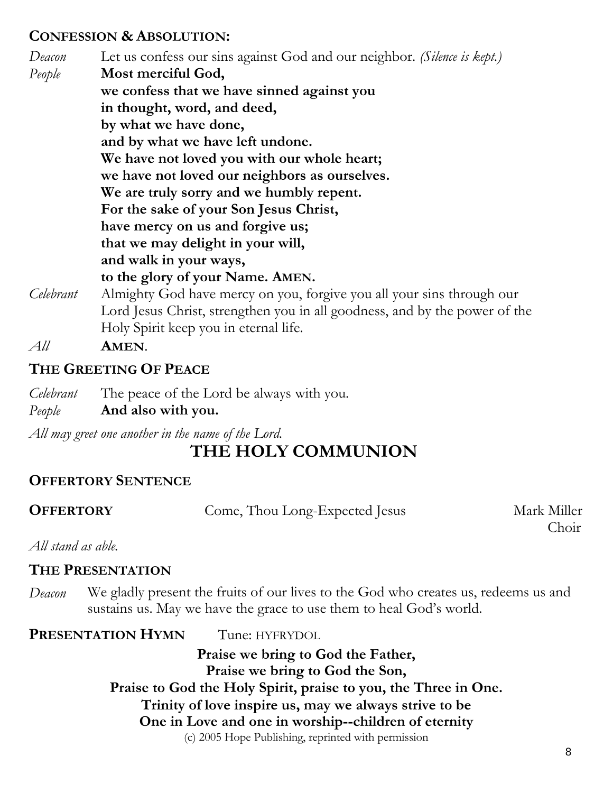#### **CONFESSION & ABSOLUTION:**

| Deacon    | Let us confess our sins against God and our neighbor. (Silence is kept.)   |
|-----------|----------------------------------------------------------------------------|
| People    | Most merciful God,                                                         |
|           | we confess that we have sinned against you                                 |
|           | in thought, word, and deed,                                                |
|           | by what we have done,                                                      |
|           | and by what we have left undone.                                           |
|           | We have not loved you with our whole heart;                                |
|           | we have not loved our neighbors as ourselves.                              |
|           | We are truly sorry and we humbly repent.                                   |
|           | For the sake of your Son Jesus Christ,                                     |
|           | have mercy on us and forgive us;                                           |
|           | that we may delight in your will,                                          |
|           | and walk in your ways,                                                     |
|           | to the glory of your Name. AMEN.                                           |
| Celebrant | Almighty God have mercy on you, forgive you all your sins through our      |
|           | Lord Jesus Christ, strengthen you in all goodness, and by the power of the |
|           | Holy Spirit keep you in eternal life.                                      |
| All       | AMEN.                                                                      |

### **THE GREETING OF PEACE**

| Celebrant | The peace of the Lord be always with you. |
|-----------|-------------------------------------------|
| People    | And also with you.                        |

*All may greet one another in the name of the Lord.*

# **THE HOLY COMMUNION**

#### **OFFERTORY SENTENCE**

| <b>OFFERTORY</b> | Come, Thou Long-Expected Jesus | Mark Miller |
|------------------|--------------------------------|-------------|
|------------------|--------------------------------|-------------|

Choir

*All stand as able.*

## **THE PRESENTATION**

*Deacon* We gladly present the fruits of our lives to the God who creates us, redeems us and sustains us. May we have the grace to use them to heal God's world.

# **PRESENTATION HYMN** Tune: HYFRYDOL

**Praise we bring to God the Father, Praise we bring to God the Son, Praise to God the Holy Spirit, praise to you, the Three in One. Trinity of love inspire us, may we always strive to be One in Love and one in worship--children of eternity** (c) 2005 Hope Publishing, reprinted with permission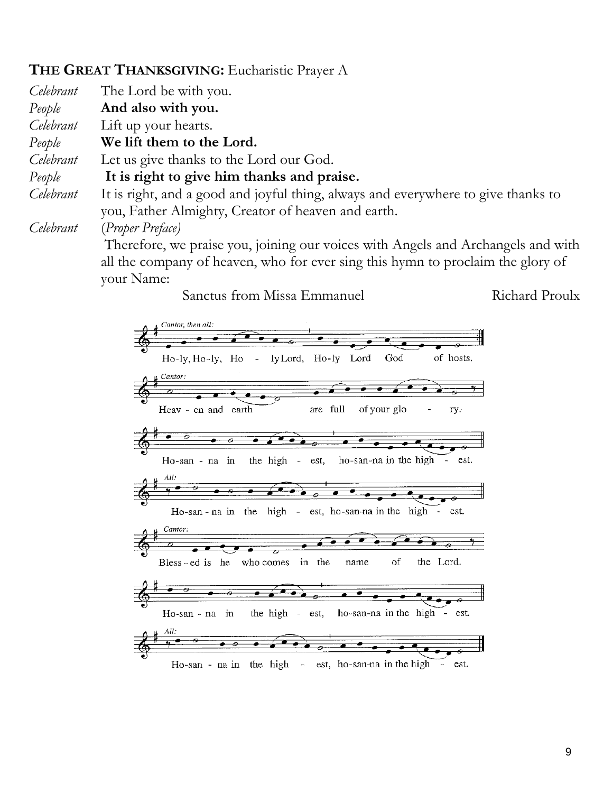# **THE GREAT THANKSGIVING:** Eucharistic Prayer A

*Celebrant* The Lord be with you. *People* **And also with you.** *Celebrant* Lift up your hearts. *People* **We lift them to the Lord.** *Celebrant* Let us give thanks to the Lord our God. *People* **It is right to give him thanks and praise.** *Celebrant* It is right, and a good and joyful thing, always and everywhere to give thanks to you, Father Almighty, Creator of heaven and earth. *Celebrant* (*Proper Preface)*

Therefore, we praise you, joining our voices with Angels and Archangels and with all the company of heaven, who for ever sing this hymn to proclaim the glory of your Name:

Sanctus from Missa Emmanuel Richard Proulx

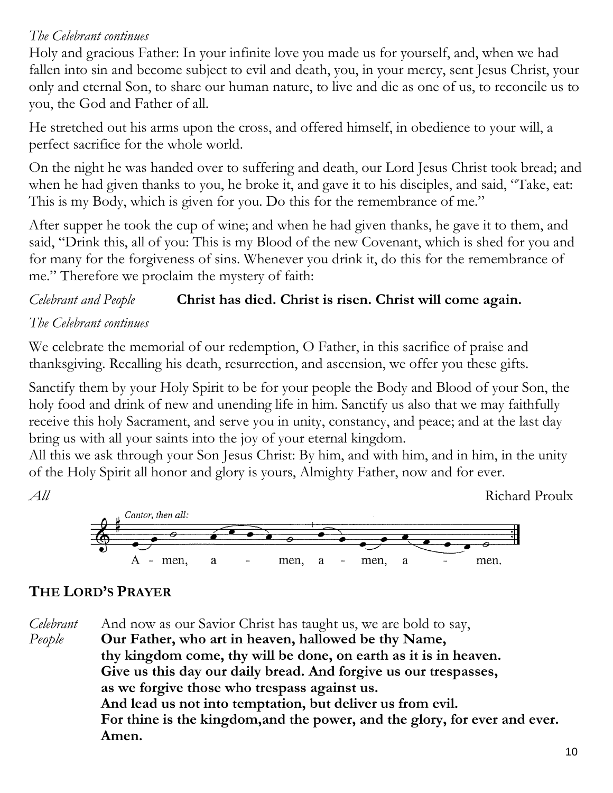# *The Celebrant continues*

Holy and gracious Father: In your infinite love you made us for yourself, and, when we had fallen into sin and become subject to evil and death, you, in your mercy, sent Jesus Christ, your only and eternal Son, to share our human nature, to live and die as one of us, to reconcile us to you, the God and Father of all.

He stretched out his arms upon the cross, and offered himself, in obedience to your will, a perfect sacrifice for the whole world.

On the night he was handed over to suffering and death, our Lord Jesus Christ took bread; and when he had given thanks to you, he broke it, and gave it to his disciples, and said, "Take, eat: This is my Body, which is given for you. Do this for the remembrance of me."

After supper he took the cup of wine; and when he had given thanks, he gave it to them, and said, "Drink this, all of you: This is my Blood of the new Covenant, which is shed for you and for many for the forgiveness of sins. Whenever you drink it, do this for the remembrance of me." Therefore we proclaim the mystery of faith:

# *Celebrant and People* **Christ has died. Christ is risen. Christ will come again.**

## *The Celebrant continues*

We celebrate the memorial of our redemption, O Father, in this sacrifice of praise and thanksgiving. Recalling his death, resurrection, and ascension, we offer you these gifts.

Sanctify them by your Holy Spirit to be for your people the Body and Blood of your Son, the holy food and drink of new and unending life in him. Sanctify us also that we may faithfully receive this holy Sacrament, and serve you in unity, constancy, and peace; and at the last day bring us with all your saints into the joy of your eternal kingdom.

All this we ask through your Son Jesus Christ: By him, and with him, and in him, in the unity of the Holy Spirit all honor and glory is yours, Almighty Father, now and for ever.

*All* Richard Proulx



# **THE LORD'S PRAYER**

*Celebrant* And now as our Savior Christ has taught us, we are bold to say, *People* **Our Father, who art in heaven, hallowed be thy Name, thy kingdom come, thy will be done, on earth as it is in heaven. Give us this day our daily bread. And forgive us our trespasses, as we forgive those who trespass against us. And lead us not into temptation, but deliver us from evil. For thine is the kingdom,and the power, and the glory, for ever and ever. Amen.**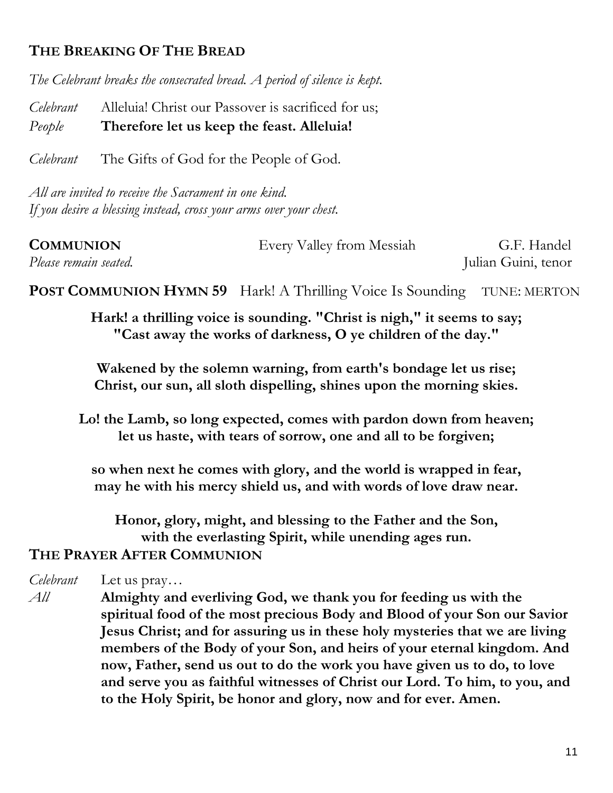# **THE BREAKING OF THE BREAD**

*The Celebrant breaks the consecrated bread. A period of silence is kept.*

*Celebrant* Alleluia! Christ our Passover is sacrificed for us; *People* **Therefore let us keep the feast. Alleluia!**

*Celebrant* The Gifts of God for the People of God.

*All are invited to receive the Sacrament in one kind. If you desire a blessing instead, cross your arms over your chest.*

| <b>COMMUNION</b>      | Every Valley from Messiah | G.F. Handel         |
|-----------------------|---------------------------|---------------------|
| Please remain seated. |                           | Julian Guini, tenor |

**POST COMMUNION HYMN 59** Hark! A Thrilling Voice Is Sounding TUNE: MERTON

**Hark! a thrilling voice is sounding. "Christ is nigh," it seems to say; "Cast away the works of darkness, O ye children of the day."**

**Wakened by the solemn warning, from earth's bondage let us rise; Christ, our sun, all sloth dispelling, shines upon the morning skies.**

**Lo! the Lamb, so long expected, comes with pardon down from heaven; let us haste, with tears of sorrow, one and all to be forgiven;**

**so when next he comes with glory, and the world is wrapped in fear, may he with his mercy shield us, and with words of love draw near.**

**Honor, glory, might, and blessing to the Father and the Son, with the everlasting Spirit, while unending ages run.**

# **THE PRAYER AFTER COMMUNION**

*Celebrant* Let us pray…

*All* **Almighty and everliving God, we thank you for feeding us with the spiritual food of the most precious Body and Blood of your Son our Savior Jesus Christ; and for assuring us in these holy mysteries that we are living members of the Body of your Son, and heirs of your eternal kingdom. And now, Father, send us out to do the work you have given us to do, to love and serve you as faithful witnesses of Christ our Lord. To him, to you, and to the Holy Spirit, be honor and glory, now and for ever. Amen.**